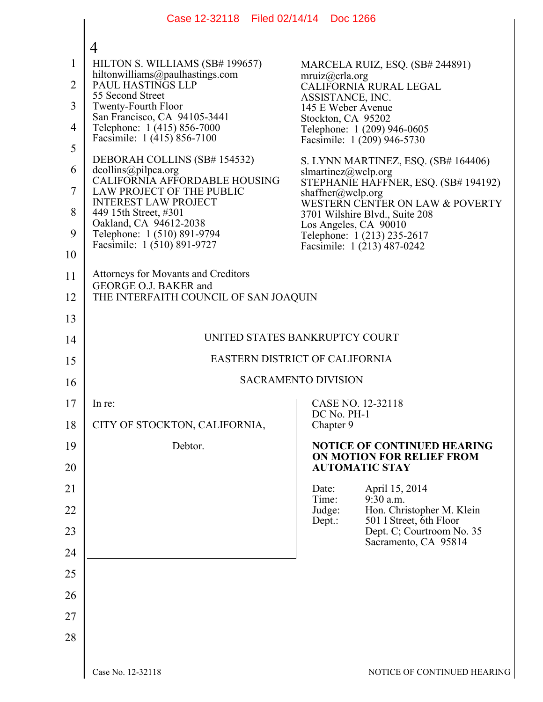|                | Case 12-32118 Filed 02/14/14 Doc 1266                                                |                                                                   |
|----------------|--------------------------------------------------------------------------------------|-------------------------------------------------------------------|
|                | $\overline{4}$                                                                       |                                                                   |
| $\mathbf{1}$   | HILTON S. WILLIAMS (SB# 199657)                                                      | MARCELA RUIZ, ESQ. (SB# 244891)                                   |
| $\overline{2}$ | hiltonwilliams@paulhastings.com<br>PAUL HASTINGS LLP                                 | mruiz@crla.org<br>CALIFORNIA RURAL LEGAL                          |
| 3              | 55 Second Street<br><b>Twenty-Fourth Floor</b>                                       | ASSISTANCE, INC.<br>145 E Weber Avenue                            |
| 4              | San Francisco, CA 94105-3441<br>Telephone: 1 (415) 856-7000                          | Stockton, CA 95202<br>Telephone: 1 (209) 946-0605                 |
| 5              | Facsimile: 1 (415) 856-7100                                                          | Facsimile: 1 (209) 946-5730                                       |
| 6              | DEBORAH COLLINS (SB# 154532)<br>dcollins@pilpca.org                                  | S. LYNN MARTINEZ, ESQ. (SB# 164406)<br>slmartinez@wclp.org        |
| 7              | CALIFORNIA AFFORDABLE HOUSING<br>LAW PROJECT OF THE PUBLIC                           | STEPHANIE HAFFNER, ESQ. (SB# 194192)<br>shaffner@wclp.org         |
| 8              | <b>INTEREST LAW PROJECT</b><br>449 15th Street, #301                                 | WESTERN CENTER ON LAW & POVERTY<br>3701 Wilshire Blvd., Suite 208 |
| 9              | Oakland, CA 94612-2038<br>Telephone: 1 (510) 891-9794<br>Facsimile: 1 (510) 891-9727 | Los Angeles, CA 90010<br>Telephone: 1 (213) 235-2617              |
| 10             |                                                                                      | Facsimile: 1 (213) 487-0242                                       |
| 11             | <b>Attorneys for Movants and Creditors</b>                                           |                                                                   |
| 12             | GEORGE O.J. BAKER and<br>THE INTERFAITH COUNCIL OF SAN JOAQUIN                       |                                                                   |
| 13             |                                                                                      |                                                                   |
| 14             | UNITED STATES BANKRUPTCY COURT                                                       |                                                                   |
| 15             | EASTERN DISTRICT OF CALIFORNIA                                                       |                                                                   |
| 16             | <b>SACRAMENTO DIVISION</b>                                                           |                                                                   |
| 17             | In re:                                                                               | CASE NO. 12-32118                                                 |
| 18             | CITY OF STOCKTON, CALIFORNIA,                                                        | DC No. PH-1<br>Chapter 9                                          |
| 19             | Debtor.                                                                              | <b>NOTICE OF CONTINUED HEARING</b>                                |
| 20             |                                                                                      | ON MOTION FOR RELIEF FROM<br><b>AUTOMATIC STAY</b>                |
| 21             |                                                                                      | April 15, 2014<br>Date:<br>$9:30$ a.m.<br>Time:                   |
| 22             |                                                                                      | Judge:<br>Hon. Christopher M. Klein                               |
| 23             |                                                                                      | 501 I Street, 6th Floor<br>Dept.:<br>Dept. C; Courtroom No. 35    |
| 24             |                                                                                      | Sacramento, CA 95814                                              |
| 25             |                                                                                      |                                                                   |
| 26             |                                                                                      |                                                                   |
| 27             |                                                                                      |                                                                   |
| 28             |                                                                                      |                                                                   |
|                | Case No. 12-32118                                                                    | NOTICE OF CONTINUED HEARIN                                        |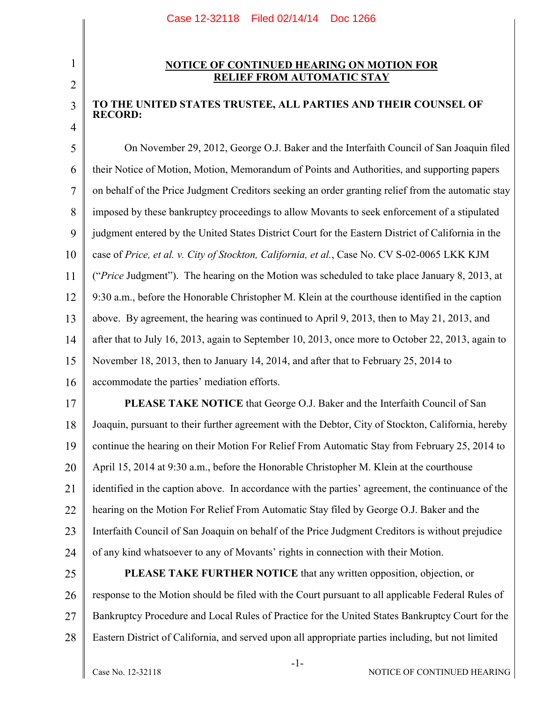## 2

3

4

1

## **NOTICE OF CONTINUED HEARING ON MOTION FOR RELIEF FROM AUTOMATIC STAY**

## **TO THE UNITED STATES TRUSTEE, ALL PARTIES AND THEIR COUNSEL OF RECORD:**

5 6 7 8 9 10 11 12 13 14 15 16 On November 29, 2012, George O.J. Baker and the Interfaith Council of San Joaquin filed their Notice of Motion, Motion, Memorandum of Points and Authorities, and supporting papers on behalf of the Price Judgment Creditors seeking an order granting relief from the automatic stay imposed by these bankruptcy proceedings to allow Movants to seek enforcement of a stipulated judgment entered by the United States District Court for the Eastern District of California in the case of *Price, et al. v. City of Stockton, California, et al.*, Case No. CV S-02-0065 LKK KJM ("*Price* Judgment"). The hearing on the Motion was scheduled to take place January 8, 2013, at 9:30 a.m., before the Honorable Christopher M. Klein at the courthouse identified in the caption above. By agreement, the hearing was continued to April 9, 2013, then to May 21, 2013, and after that to July 16, 2013, again to September 10, 2013, once more to October 22, 2013, again to November 18, 2013, then to January 14, 2014, and after that to February 25, 2014 to accommodate the parties' mediation efforts.

17 18 19 20 21 22 23 24 **PLEASE TAKE NOTICE** that George O.J. Baker and the Interfaith Council of San Joaquin, pursuant to their further agreement with the Debtor, City of Stockton, California, hereby continue the hearing on their Motion For Relief From Automatic Stay from February 25, 2014 to April 15, 2014 at 9:30 a.m., before the Honorable Christopher M. Klein at the courthouse identified in the caption above. In accordance with the parties' agreement, the continuance of the hearing on the Motion For Relief From Automatic Stay filed by George O.J. Baker and the Interfaith Council of San Joaquin on behalf of the Price Judgment Creditors is without prejudice of any kind whatsoever to any of Movants' rights in connection with their Motion.

25 26 27 28 **PLEASE TAKE FURTHER NOTICE** that any written opposition, objection, or response to the Motion should be filed with the Court pursuant to all applicable Federal Rules of Bankruptcy Procedure and Local Rules of Practice for the United States Bankruptcy Court for the Eastern District of California, and served upon all appropriate parties including, but not limited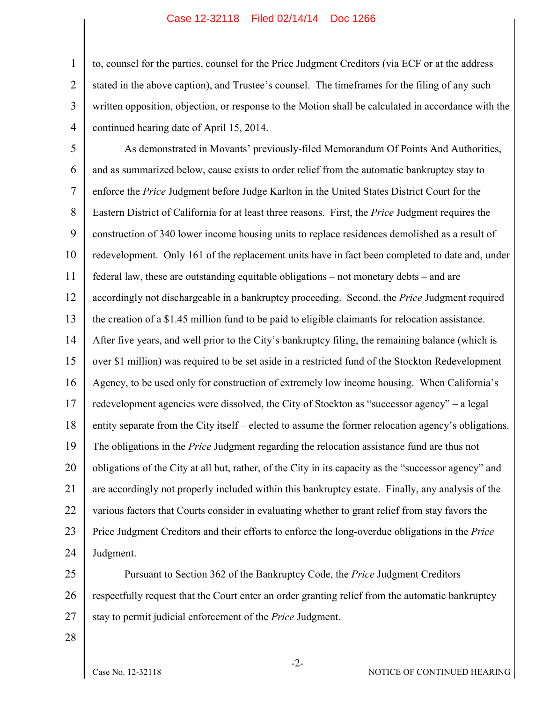## Case 12-32118 Filed 02/14/14 Doc 1266

1 2 3 4 to, counsel for the parties, counsel for the Price Judgment Creditors (via ECF or at the address stated in the above caption), and Trustee's counsel. The timeframes for the filing of any such written opposition, objection, or response to the Motion shall be calculated in accordance with the continued hearing date of April 15, 2014.

5 6 7 8 9 10 11 12 13 14 15 16 17 18 19 20 21 22 23 24 As demonstrated in Movants' previously-filed Memorandum Of Points And Authorities, and as summarized below, cause exists to order relief from the automatic bankruptcy stay to enforce the *Price* Judgment before Judge Karlton in the United States District Court for the Eastern District of California for at least three reasons. First, the *Price* Judgment requires the construction of 340 lower income housing units to replace residences demolished as a result of redevelopment. Only 161 of the replacement units have in fact been completed to date and, under federal law, these are outstanding equitable obligations – not monetary debts – and are accordingly not dischargeable in a bankruptcy proceeding. Second, the *Price* Judgment required the creation of a \$1.45 million fund to be paid to eligible claimants for relocation assistance. After five years, and well prior to the City's bankruptcy filing, the remaining balance (which is over \$1 million) was required to be set aside in a restricted fund of the Stockton Redevelopment Agency, to be used only for construction of extremely low income housing. When California's redevelopment agencies were dissolved, the City of Stockton as "successor agency" – a legal entity separate from the City itself – elected to assume the former relocation agency's obligations. The obligations in the *Price* Judgment regarding the relocation assistance fund are thus not obligations of the City at all but, rather, of the City in its capacity as the "successor agency" and are accordingly not properly included within this bankruptcy estate. Finally, any analysis of the various factors that Courts consider in evaluating whether to grant relief from stay favors the Price Judgment Creditors and their efforts to enforce the long-overdue obligations in the *Price* Judgment.

25 26 27 Pursuant to Section 362 of the Bankruptcy Code, the *Price* Judgment Creditors respectfully request that the Court enter an order granting relief from the automatic bankruptcy stay to permit judicial enforcement of the *Price* Judgment.

28

-2-